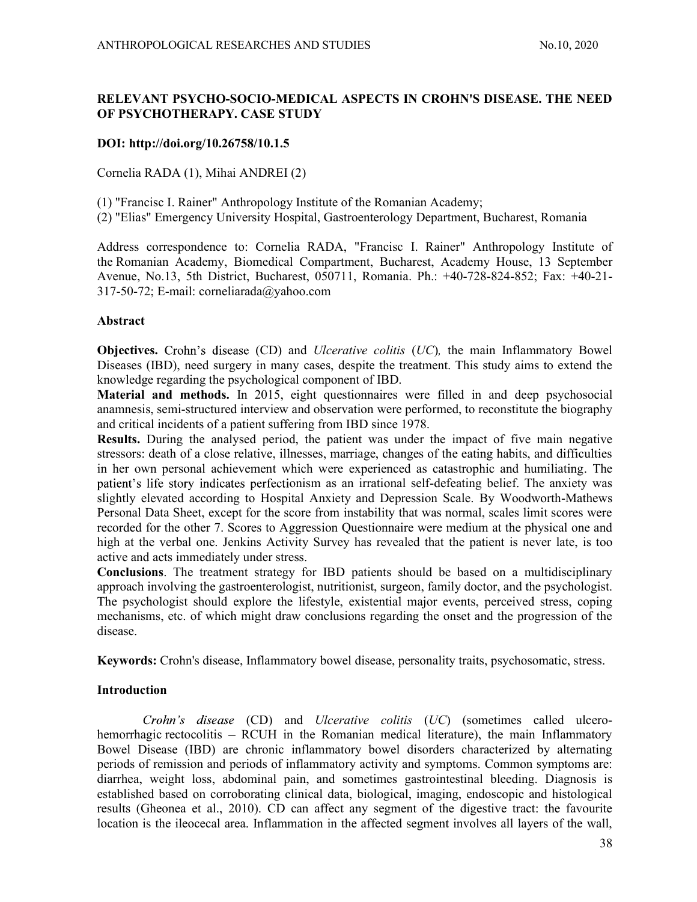# RELEVANT PSYCHO-SOCIO-MEDICAL ASPECTS IN CROHN'S DISEASE. THE NEED OF PSYCHOTHERAPY. CASE STUDY

## DOI: http://doi.org/10.26758/10.1.5

Cornelia RADA (1), Mihai ANDREI (2)

(1) "Francisc I. Rainer" Anthropology Institute of the Romanian Academy;

(2) "Elias" Emergency University Hospital, Gastroenterology Department, Bucharest, Romania

Address correspondence to: Cornelia RADA, "Francisc I. Rainer" Anthropology Institute of the Romanian Academy, Biomedical Compartment, Bucharest, Academy House, 13 September Avenue, No.13, 5th District, Bucharest, 050711, Romania. Ph.: +40-728-824-852; Fax: +40-21- 317-50-72; E-mail: corneliarada@yahoo.com

## Abstract

**Objectives.** Crohn's disease  $(CD)$  and *Ulcerative colitis*  $(UC)$ , the main Inflammatory Bowel Diseases (IBD), need surgery in many cases, despite the treatment. This study aims to extend the knowledge regarding the psychological component of IBD.

Material and methods. In 2015, eight questionnaires were filled in and deep psychosocial anamnesis, semi-structured interview and observation were performed, to reconstitute the biography and critical incidents of a patient suffering from IBD since 1978.

Results. During the analysed period, the patient was under the impact of five main negative stressors: death of a close relative, illnesses, marriage, changes of the eating habits, and difficulties in her own personal achievement which were experienced as catastrophic and humiliating. The patient's life story indicates perfectionism as an irrational self-defeating belief. The anxiety was slightly elevated according to Hospital Anxiety and Depression Scale. By Woodworth-Mathews Personal Data Sheet, except for the score from instability that was normal, scales limit scores were recorded for the other 7. Scores to Aggression Questionnaire were medium at the physical one and high at the verbal one. Jenkins Activity Survey has revealed that the patient is never late, is too active and acts immediately under stress.

Conclusions. The treatment strategy for IBD patients should be based on a multidisciplinary approach involving the gastroenterologist, nutritionist, surgeon, family doctor, and the psychologist. The psychologist should explore the lifestyle, existential major events, perceived stress, coping mechanisms, etc. of which might draw conclusions regarding the onset and the progression of the disease.

Keywords: Crohn's disease, Inflammatory bowel disease, personality traits, psychosomatic, stress.

# Introduction

Crohn's disease (CD) and Ulcerative colitis (UC) (sometimes called ulcerohemorrhagic rectocolitis – RCUH in the Romanian medical literature), the main Inflammatory Bowel Disease (IBD) are chronic inflammatory bowel disorders characterized by alternating periods of remission and periods of inflammatory activity and symptoms. Common symptoms are: diarrhea, weight loss, abdominal pain, and sometimes gastrointestinal bleeding. Diagnosis is established based on corroborating clinical data, biological, imaging, endoscopic and histological results (Gheonea et al., 2010). CD can affect any segment of the digestive tract: the favourite location is the ileocecal area. Inflammation in the affected segment involves all layers of the wall,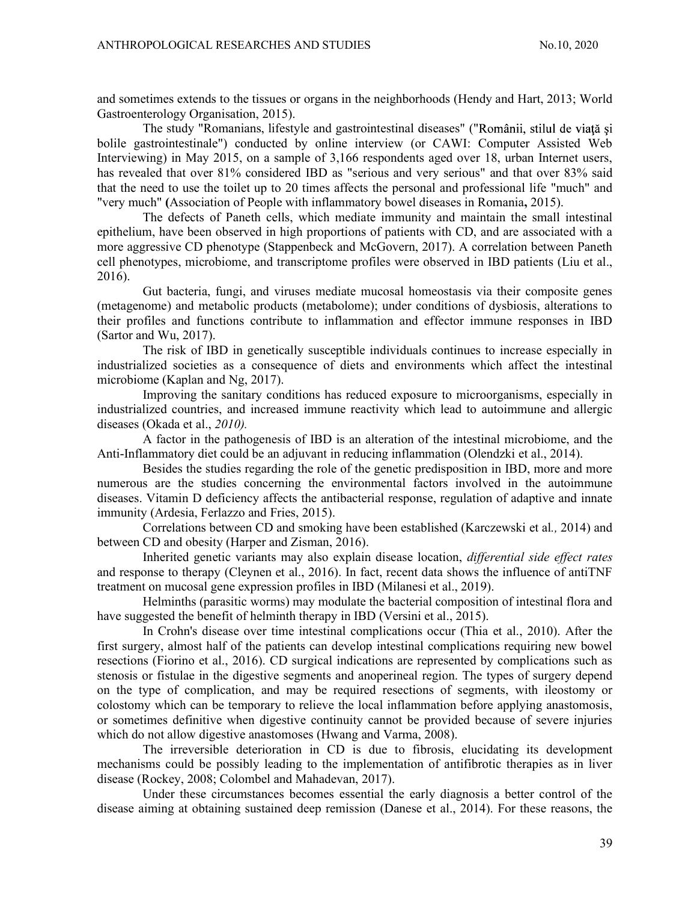and sometimes extends to the tissues or organs in the neighborhoods (Hendy and Hart, 2013; World Gastroenterology Organisation, 2015).

The study "Romanians, lifestyle and gastrointestinal diseases" (" bolile gastrointestinale") conducted by online interview (or CAWI: Computer Assisted Web Interviewing) in May 2015, on a sample of 3,166 respondents aged over 18, urban Internet users, has revealed that over 81% considered IBD as "serious and very serious" and that over 83% said that the need to use the toilet up to 20 times affects the personal and professional life "much" and "very much" (Association of People with inflammatory bowel diseases in Romania, 2015).

The defects of Paneth cells, which mediate immunity and maintain the small intestinal epithelium, have been observed in high proportions of patients with CD, and are associated with a more aggressive CD phenotype (Stappenbeck and McGovern, 2017). A correlation between Paneth cell phenotypes, microbiome, and transcriptome profiles were observed in IBD patients (Liu et al., 2016).

Gut bacteria, fungi, and viruses mediate mucosal homeostasis via their composite genes (metagenome) and metabolic products (metabolome); under conditions of dysbiosis, alterations to their profiles and functions contribute to inflammation and effector immune responses in IBD (Sartor and Wu, 2017).

The risk of IBD in genetically susceptible individuals continues to increase especially in industrialized societies as a consequence of diets and environments which affect the intestinal microbiome (Kaplan and Ng, 2017).

Improving the sanitary conditions has reduced exposure to microorganisms, especially in industrialized countries, and increased immune reactivity which lead to autoimmune and allergic diseases (Okada et al., 2010).

A factor in the pathogenesis of IBD is an alteration of the intestinal microbiome, and the Anti-Inflammatory diet could be an adjuvant in reducing inflammation (Olendzki et al., 2014).

Besides the studies regarding the role of the genetic predisposition in IBD, more and more numerous are the studies concerning the environmental factors involved in the autoimmune diseases. Vitamin D deficiency affects the antibacterial response, regulation of adaptive and innate immunity (Ardesia, Ferlazzo and Fries, 2015).

Correlations between CD and smoking have been established (Karczewski et al., 2014) and between CD and obesity (Harper and Zisman, 2016).

Inherited genetic variants may also explain disease location, differential side effect rates and response to therapy (Cleynen et al., 2016). In fact, recent data shows the influence of antiTNF treatment on mucosal gene expression profiles in IBD (Milanesi et al., 2019).

Helminths (parasitic worms) may modulate the bacterial composition of intestinal flora and have suggested the benefit of helminth therapy in IBD (Versini et al., 2015).

In Crohn's disease over time intestinal complications occur (Thia et al., 2010). After the first surgery, almost half of the patients can develop intestinal complications requiring new bowel resections (Fiorino et al., 2016). CD surgical indications are represented by complications such as stenosis or fistulae in the digestive segments and anoperineal region. The types of surgery depend on the type of complication, and may be required resections of segments, with ileostomy or colostomy which can be temporary to relieve the local inflammation before applying anastomosis, or sometimes definitive when digestive continuity cannot be provided because of severe injuries which do not allow digestive anastomoses (Hwang and Varma, 2008).

The irreversible deterioration in CD is due to fibrosis, elucidating its development mechanisms could be possibly leading to the implementation of antifibrotic therapies as in liver disease (Rockey, 2008; Colombel and Mahadevan, 2017).

Under these circumstances becomes essential the early diagnosis a better control of the disease aiming at obtaining sustained deep remission (Danese et al., 2014). For these reasons, the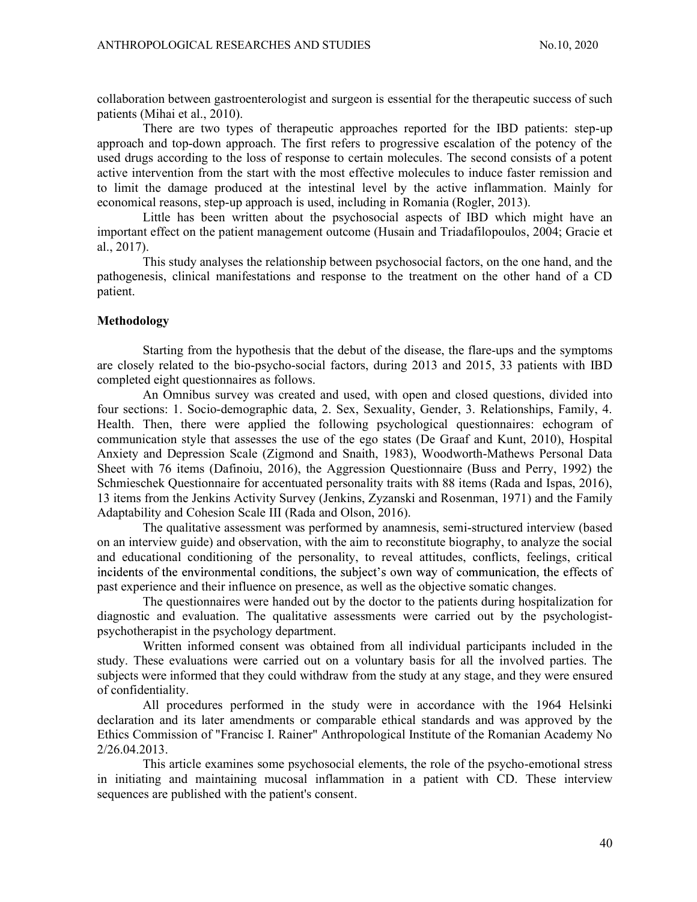collaboration between gastroenterologist and surgeon is essential for the therapeutic success of such patients (Mihai et al., 2010).

There are two types of therapeutic approaches reported for the IBD patients: step-up approach and top-down approach. The first refers to progressive escalation of the potency of the used drugs according to the loss of response to certain molecules. The second consists of a potent active intervention from the start with the most effective molecules to induce faster remission and to limit the damage produced at the intestinal level by the active inflammation. Mainly for economical reasons, step-up approach is used, including in Romania (Rogler, 2013).

Little has been written about the psychosocial aspects of IBD which might have an important effect on the patient management outcome (Husain and Triadafilopoulos, 2004; Gracie et al., 2017).

This study analyses the relationship between psychosocial factors, on the one hand, and the pathogenesis, clinical manifestations and response to the treatment on the other hand of a CD patient.

### Methodology

Starting from the hypothesis that the debut of the disease, the flare-ups and the symptoms are closely related to the bio-psycho-social factors, during 2013 and 2015, 33 patients with IBD completed eight questionnaires as follows.

An Omnibus survey was created and used, with open and closed questions, divided into four sections: 1. Socio-demographic data, 2. Sex, Sexuality, Gender, 3. Relationships, Family, 4. Health. Then, there were applied the following psychological questionnaires: echogram of communication style that assesses the use of the ego states (De Graaf and Kunt, 2010), Hospital Anxiety and Depression Scale (Zigmond and Snaith, 1983), Woodworth-Mathews Personal Data Sheet with 76 items (Dafinoiu, 2016), the Aggression Questionnaire (Buss and Perry, 1992) the Schmieschek Questionnaire for accentuated personality traits with 88 items (Rada and Ispas, 2016), 13 items from the Jenkins Activity Survey (Jenkins, Zyzanski and Rosenman, 1971) and the Family Adaptability and Cohesion Scale III (Rada and Olson, 2016).

The qualitative assessment was performed by anamnesis, semi-structured interview (based on an interview guide) and observation, with the aim to reconstitute biography, to analyze the social and educational conditioning of the personality, to reveal attitudes, conflicts, feelings, critical incidents of the environmental conditions, the subject's own way of communication, the effects of past experience and their influence on presence, as well as the objective somatic changes.

The questionnaires were handed out by the doctor to the patients during hospitalization for diagnostic and evaluation. The qualitative assessments were carried out by the psychologistpsychotherapist in the psychology department.

Written informed consent was obtained from all individual participants included in the study. These evaluations were carried out on a voluntary basis for all the involved parties. The subjects were informed that they could withdraw from the study at any stage, and they were ensured of confidentiality.

All procedures performed in the study were in accordance with the 1964 Helsinki declaration and its later amendments or comparable ethical standards and was approved by the Ethics Commission of "Francisc I. Rainer" Anthropological Institute of the Romanian Academy No 2/26.04.2013.

This article examines some psychosocial elements, the role of the psycho-emotional stress in initiating and maintaining mucosal inflammation in a patient with CD. These interview sequences are published with the patient's consent.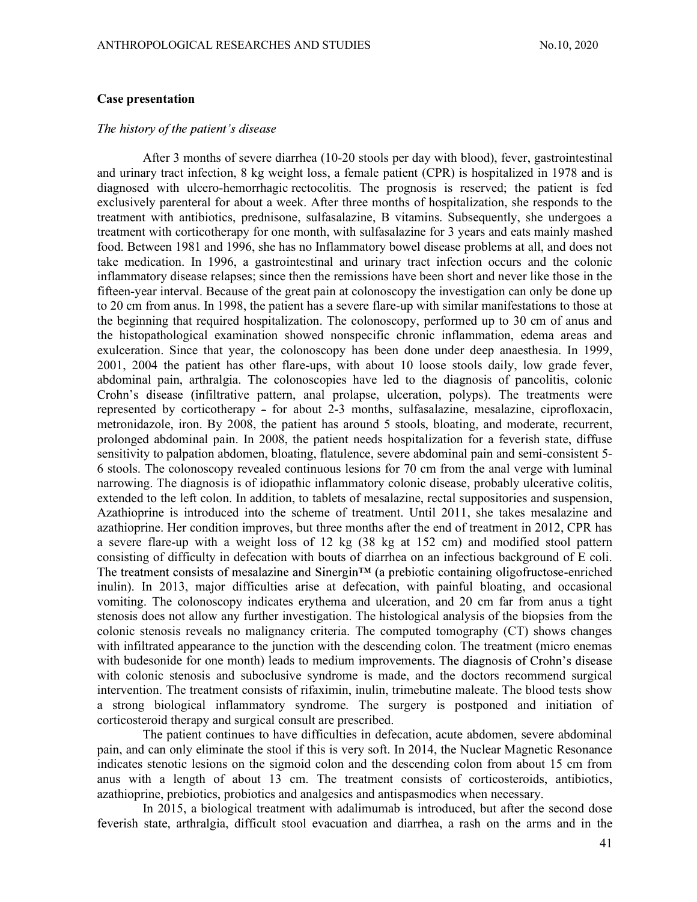### Case presentation

### The history of the patient's disease

After 3 months of severe diarrhea (10-20 stools per day with blood), fever, gastrointestinal and urinary tract infection, 8 kg weight loss, a female patient (CPR) is hospitalized in 1978 and is diagnosed with ulcero-hemorrhagic rectocolitis. The prognosis is reserved; the patient is fed exclusively parenteral for about a week. After three months of hospitalization, she responds to the treatment with antibiotics, prednisone, sulfasalazine, B vitamins. Subsequently, she undergoes a treatment with corticotherapy for one month, with sulfasalazine for 3 years and eats mainly mashed food. Between 1981 and 1996, she has no Inflammatory bowel disease problems at all, and does not take medication. In 1996, a gastrointestinal and urinary tract infection occurs and the colonic inflammatory disease relapses; since then the remissions have been short and never like those in the fifteen-year interval. Because of the great pain at colonoscopy the investigation can only be done up to 20 cm from anus. In 1998, the patient has a severe flare-up with similar manifestations to those at the beginning that required hospitalization. The colonoscopy, performed up to 30 cm of anus and the histopathological examination showed nonspecific chronic inflammation, edema areas and exulceration. Since that year, the colonoscopy has been done under deep anaesthesia. In 1999, 2001, 2004 the patient has other flare-ups, with about 10 loose stools daily, low grade fever, abdominal pain, arthralgia. The colonoscopies have led to the diagnosis of pancolitis, colonic Crohn's disease (infiltrative pattern, anal prolapse, ulceration, polyps). The treatments were represented by corticotherapy - for about 2-3 months, sulfasalazine, mesalazine, ciprofloxacin, metronidazole, iron. By 2008, the patient has around 5 stools, bloating, and moderate, recurrent, prolonged abdominal pain. In 2008, the patient needs hospitalization for a feverish state, diffuse sensitivity to palpation abdomen, bloating, flatulence, severe abdominal pain and semi-consistent 5- 6 stools. The colonoscopy revealed continuous lesions for 70 cm from the anal verge with luminal narrowing. The diagnosis is of idiopathic inflammatory colonic disease, probably ulcerative colitis, extended to the left colon. In addition, to tablets of mesalazine, rectal suppositories and suspension, Azathioprine is introduced into the scheme of treatment. Until 2011, she takes mesalazine and azathioprine. Her condition improves, but three months after the end of treatment in 2012, CPR has a severe flare-up with a weight loss of 12 kg (38 kg at 152 cm) and modified stool pattern consisting of difficulty in defecation with bouts of diarrhea on an infectious background of E coli. The treatment consists of mesalazine and Sinergin<sup> $TM$ </sup> (a prebiotic containing oligofructose-enriched inulin). In 2013, major difficulties arise at defecation, with painful bloating, and occasional vomiting. The colonoscopy indicates erythema and ulceration, and 20 cm far from anus a tight stenosis does not allow any further investigation. The histological analysis of the biopsies from the colonic stenosis reveals no malignancy criteria. The computed tomography (CT) shows changes with infiltrated appearance to the junction with the descending colon. The treatment (micro enemas with budesonide for one month) leads to medium improvements. The diagnosis of Crohn's disease with colonic stenosis and suboclusive syndrome is made, and the doctors recommend surgical intervention. The treatment consists of rifaximin, inulin, trimebutine maleate. The blood tests show a strong biological inflammatory syndrome. The surgery is postponed and initiation of corticosteroid therapy and surgical consult are prescribed.

The patient continues to have difficulties in defecation, acute abdomen, severe abdominal pain, and can only eliminate the stool if this is very soft. In 2014, the Nuclear Magnetic Resonance indicates stenotic lesions on the sigmoid colon and the descending colon from about 15 cm from anus with a length of about 13 cm. The treatment consists of corticosteroids, antibiotics, azathioprine, prebiotics, probiotics and analgesics and antispasmodics when necessary.

In 2015, a biological treatment with adalimumab is introduced, but after the second dose feverish state, arthralgia, difficult stool evacuation and diarrhea, a rash on the arms and in the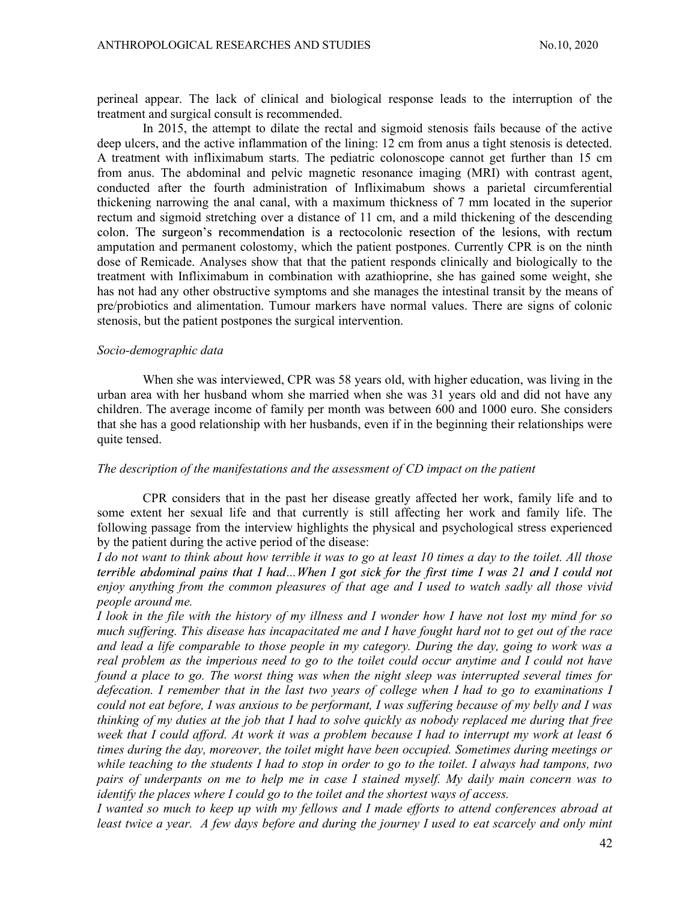perineal appear. The lack of clinical and biological response leads to the interruption of the treatment and surgical consult is recommended.

In 2015, the attempt to dilate the rectal and sigmoid stenosis fails because of the active deep ulcers, and the active inflammation of the lining: 12 cm from anus a tight stenosis is detected. A treatment with infliximabum starts. The pediatric colonoscope cannot get further than 15 cm from anus. The abdominal and pelvic magnetic resonance imaging (MRI) with contrast agent, conducted after the fourth administration of Infliximabum shows a parietal circumferential thickening narrowing the anal canal, with a maximum thickness of 7 mm located in the superior rectum and sigmoid stretching over a distance of 11 cm, and a mild thickening of the descending colon. The surgeon's recommendation is a rectocolonic resection of the lesions, with rectum amputation and permanent colostomy, which the patient postpones. Currently CPR is on the ninth dose of Remicade. Analyses show that that the patient responds clinically and biologically to the treatment with Infliximabum in combination with azathioprine, she has gained some weight, she has not had any other obstructive symptoms and she manages the intestinal transit by the means of pre/probiotics and alimentation. Tumour markers have normal values. There are signs of colonic stenosis, but the patient postpones the surgical intervention.

### Socio-demographic data

When she was interviewed, CPR was 58 years old, with higher education, was living in the urban area with her husband whom she married when she was 31 years old and did not have any children. The average income of family per month was between 600 and 1000 euro. She considers that she has a good relationship with her husbands, even if in the beginning their relationships were quite tensed.

#### The description of the manifestations and the assessment of CD impact on the patient

CPR considers that in the past her disease greatly affected her work, family life and to some extent her sexual life and that currently is still affecting her work and family life. The following passage from the interview highlights the physical and psychological stress experienced by the patient during the active period of the disease:

I do not want to think about how terrible it was to go at least 10 times a day to the toilet. All those terrible abdominal pains that I had...When I got sick for the first time I was 21 and I could not enjoy anything from the common pleasures of that age and I used to watch sadly all those vivid people around me.

I look in the file with the history of my illness and I wonder how I have not lost my mind for so much suffering. This disease has incapacitated me and I have fought hard not to get out of the race and lead a life comparable to those people in my category. During the day, going to work was a real problem as the imperious need to go to the toilet could occur anytime and I could not have found a place to go. The worst thing was when the night sleep was interrupted several times for defecation. I remember that in the last two years of college when I had to go to examinations I could not eat before, I was anxious to be performant, I was suffering because of my belly and I was thinking of my duties at the job that I had to solve quickly as nobody replaced me during that free week that I could afford. At work it was a problem because I had to interrupt my work at least 6 times during the day, moreover, the toilet might have been occupied. Sometimes during meetings or while teaching to the students I had to stop in order to go to the toilet. I always had tampons, two pairs of underpants on me to help me in case I stained myself. My daily main concern was to identify the places where I could go to the toilet and the shortest ways of access.

I wanted so much to keep up with my fellows and I made efforts to attend conferences abroad at least twice a year. A few days before and during the journey I used to eat scarcely and only mint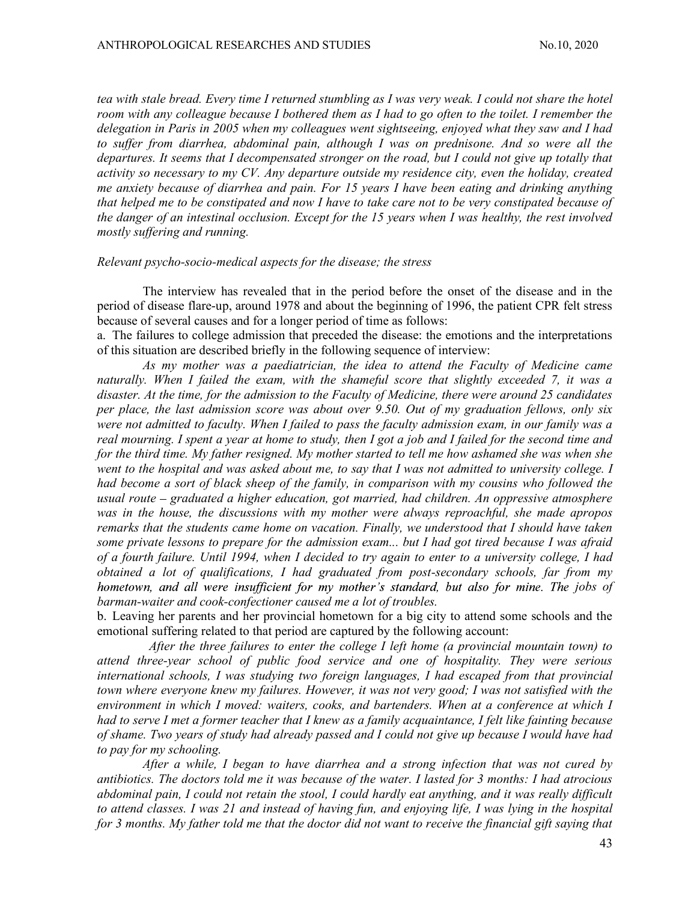tea with stale bread. Every time I returned stumbling as I was very weak. I could not share the hotel room with any colleague because I bothered them as I had to go often to the toilet. I remember the delegation in Paris in 2005 when my colleagues went sightseeing, enjoyed what they saw and I had to suffer from diarrhea, abdominal pain, although I was on prednisone. And so were all the departures. It seems that I decompensated stronger on the road, but I could not give up totally that activity so necessary to my CV. Any departure outside my residence city, even the holiday, created me anxiety because of diarrhea and pain. For 15 years I have been eating and drinking anything that helped me to be constipated and now I have to take care not to be very constipated because of the danger of an intestinal occlusion. Except for the 15 years when I was healthy, the rest involved mostly suffering and running.

#### Relevant psycho-socio-medical aspects for the disease; the stress

The interview has revealed that in the period before the onset of the disease and in the period of disease flare-up, around 1978 and about the beginning of 1996, the patient CPR felt stress because of several causes and for a longer period of time as follows:

a. The failures to college admission that preceded the disease: the emotions and the interpretations of this situation are described briefly in the following sequence of interview:

As my mother was a paediatrician, the idea to attend the Faculty of Medicine came naturally. When I failed the exam, with the shameful score that slightly exceeded 7, it was a disaster. At the time, for the admission to the Faculty of Medicine, there were around 25 candidates per place, the last admission score was about over 9.50. Out of my graduation fellows, only six were not admitted to faculty. When I failed to pass the faculty admission exam, in our family was a real mourning. I spent a year at home to study, then I got a job and I failed for the second time and for the third time. My father resigned. My mother started to tell me how ashamed she was when she went to the hospital and was asked about me, to say that I was not admitted to university college. I had become a sort of black sheep of the family, in comparison with my cousins who followed the usual route – graduated a higher education, got married, had children. An oppressive atmosphere was in the house, the discussions with my mother were always reproachful, she made apropos remarks that the students came home on vacation. Finally, we understood that I should have taken some private lessons to prepare for the admission exam... but I had got tired because I was afraid of a fourth failure. Until 1994, when I decided to try again to enter to a university college, I had obtained a lot of qualifications, I had graduated from post-secondary schools, far from my hometown, and all were insufficient for my mother's standard, but also for mine. The jobs of barman-waiter and cook-confectioner caused me a lot of troubles.

b. Leaving her parents and her provincial hometown for a big city to attend some schools and the emotional suffering related to that period are captured by the following account:

 After the three failures to enter the college I left home (a provincial mountain town) to attend three-year school of public food service and one of hospitality. They were serious international schools, I was studying two foreign languages, I had escaped from that provincial town where everyone knew my failures. However, it was not very good; I was not satisfied with the environment in which I moved: waiters, cooks, and bartenders. When at a conference at which I had to serve I met a former teacher that I knew as a family acquaintance, I felt like fainting because of shame. Two years of study had already passed and I could not give up because I would have had to pay for my schooling.

After a while, I began to have diarrhea and a strong infection that was not cured by antibiotics. The doctors told me it was because of the water. I lasted for 3 months: I had atrocious abdominal pain, I could not retain the stool, I could hardly eat anything, and it was really difficult to attend classes. I was 21 and instead of having fun, and enjoying life, I was lying in the hospital for 3 months. My father told me that the doctor did not want to receive the financial gift saying that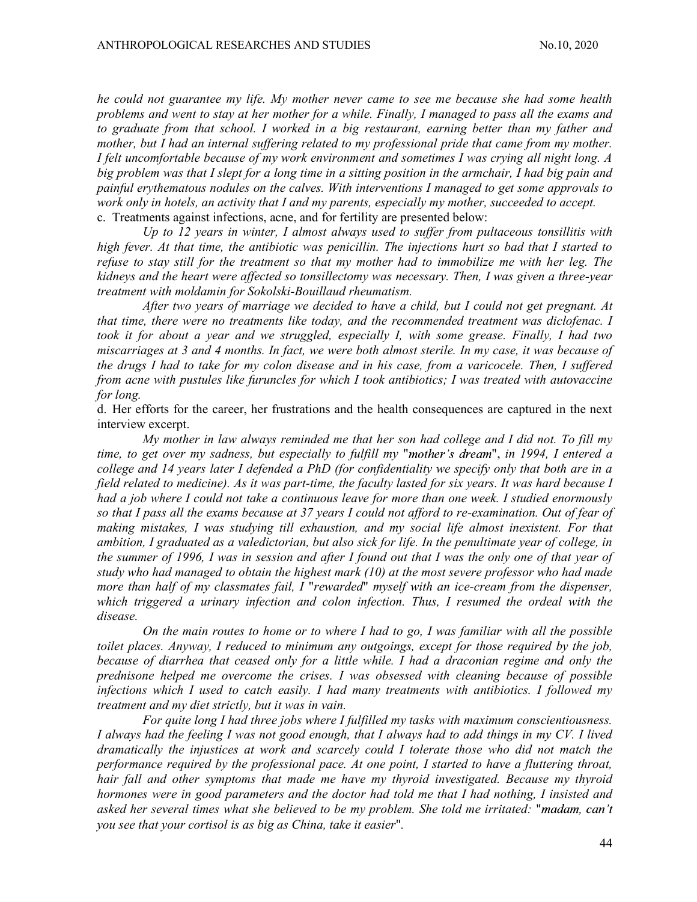he could not guarantee my life. My mother never came to see me because she had some health problems and went to stay at her mother for a while. Finally, I managed to pass all the exams and to graduate from that school. I worked in a big restaurant, earning better than my father and mother, but I had an internal suffering related to my professional pride that came from my mother. I felt uncomfortable because of my work environment and sometimes I was crying all night long. A big problem was that I slept for a long time in a sitting position in the armchair, I had big pain and painful erythematous nodules on the calves. With interventions I managed to get some approvals to work only in hotels, an activity that I and my parents, especially my mother, succeeded to accept. c. Treatments against infections, acne, and for fertility are presented below:

Up to 12 years in winter, I almost always used to suffer from pultaceous tonsillitis with high fever. At that time, the antibiotic was penicillin. The injections hurt so bad that I started to refuse to stay still for the treatment so that my mother had to immobilize me with her leg. The kidneys and the heart were affected so tonsillectomy was necessary. Then, I was given a three-year treatment with moldamin for Sokolski-Bouillaud rheumatism.

After two years of marriage we decided to have a child, but I could not get pregnant. At that time, there were no treatments like today, and the recommended treatment was diclofenac. I took it for about a year and we struggled, especially I, with some grease. Finally, I had two miscarriages at 3 and 4 months. In fact, we were both almost sterile. In my case, it was because of the drugs I had to take for my colon disease and in his case, from a varicocele. Then, I suffered from acne with pustules like furuncles for which I took antibiotics; I was treated with autovaccine for long.

d. Her efforts for the career, her frustrations and the health consequences are captured in the next interview excerpt.

My mother in law always reminded me that her son had college and I did not. To fill my time, to get over my sadness, but especially to fulfill my "mother's dream", in 1994, I entered a college and 14 years later I defended a PhD (for confidentiality we specify only that both are in a field related to medicine). As it was part-time, the faculty lasted for six years. It was hard because I had a job where I could not take a continuous leave for more than one week. I studied enormously so that I pass all the exams because at 37 years I could not afford to re-examination. Out of fear of making mistakes, I was studying till exhaustion, and my social life almost inexistent. For that ambition, I graduated as a valedictorian, but also sick for life. In the penultimate year of college, in the summer of 1996, I was in session and after I found out that I was the only one of that year of study who had managed to obtain the highest mark (10) at the most severe professor who had made more than half of my classmates fail, I "rewarded" myself with an ice-cream from the dispenser, which triggered a urinary infection and colon infection. Thus, I resumed the ordeal with the disease.

On the main routes to home or to where I had to go, I was familiar with all the possible toilet places. Anyway, I reduced to minimum any outgoings, except for those required by the job, because of diarrhea that ceased only for a little while. I had a draconian regime and only the prednisone helped me overcome the crises. I was obsessed with cleaning because of possible infections which I used to catch easily. I had many treatments with antibiotics. I followed my treatment and my diet strictly, but it was in vain.

For quite long I had three jobs where I fulfilled my tasks with maximum conscientiousness. I always had the feeling I was not good enough, that I always had to add things in my CV. I lived dramatically the injustices at work and scarcely could I tolerate those who did not match the performance required by the professional pace. At one point, I started to have a fluttering throat, hair fall and other symptoms that made me have my thyroid investigated. Because my thyroid hormones were in good parameters and the doctor had told me that I had nothing, I insisted and asked her several times what she believed to be my problem. She told me irritated: you see that your cortisol is as big as China, take it easier".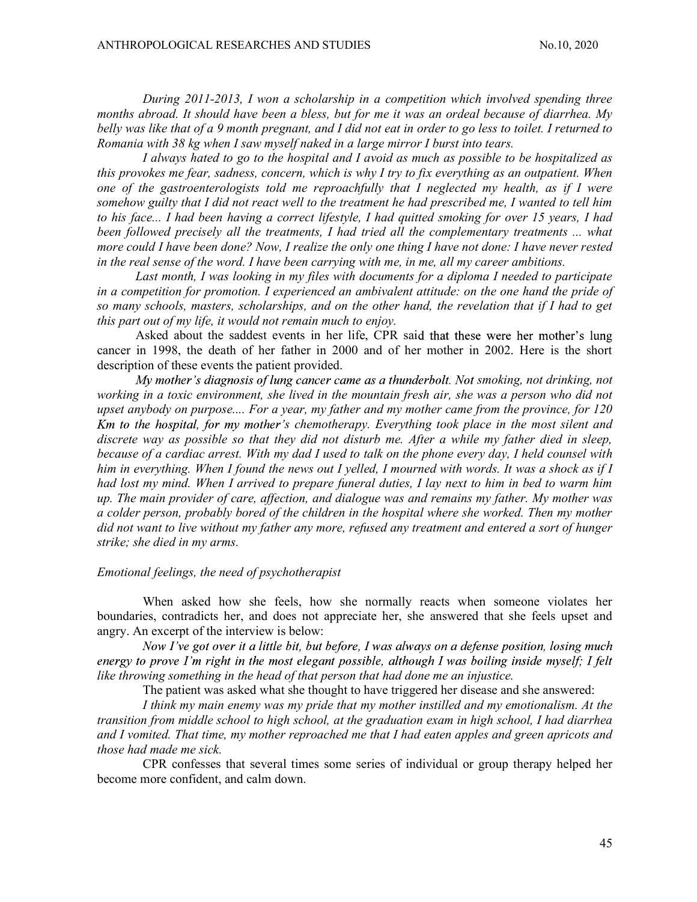During 2011-2013, I won a scholarship in a competition which involved spending three months abroad. It should have been a bless, but for me it was an ordeal because of diarrhea. My belly was like that of a 9 month pregnant, and I did not eat in order to go less to toilet. I returned to Romania with 38 kg when I saw myself naked in a large mirror I burst into tears.

I always hated to go to the hospital and I avoid as much as possible to be hospitalized as this provokes me fear, sadness, concern, which is why I try to fix everything as an outpatient. When one of the gastroenterologists told me reproachfully that I neglected my health, as if I were somehow guilty that I did not react well to the treatment he had prescribed me, I wanted to tell him to his face... I had been having a correct lifestyle, I had quitted smoking for over 15 years, I had been followed precisely all the treatments, I had tried all the complementary treatments ... what more could I have been done? Now, I realize the only one thing I have not done: I have never rested in the real sense of the word. I have been carrying with me, in me, all my career ambitions.

Last month, I was looking in my files with documents for a diploma I needed to participate in a competition for promotion. I experienced an ambivalent attitude: on the one hand the pride of so many schools, masters, scholarships, and on the other hand, the revelation that if I had to get this part out of my life, it would not remain much to enjoy.

Asked about the saddest events in her life, CPR said that these were her mother's lung cancer in 1998, the death of her father in 2000 and of her mother in 2002. Here is the short description of these events the patient provided.

 $My$  mother's diagnosis of lung cancer came as a thunderbolt. Not smoking, not drinking, not working in a toxic environment, she lived in the mountain fresh air, she was a person who did not upset anybody on purpose.... For a year, my father and my mother came from the province, for 120 Km to the hospital, for my mother's chemotherapy. Everything took place in the most silent and discrete way as possible so that they did not disturb me. After a while my father died in sleep, because of a cardiac arrest. With my dad I used to talk on the phone every day, I held counsel with him in everything. When I found the news out I yelled, I mourned with words. It was a shock as if I had lost my mind. When I arrived to prepare funeral duties, I lay next to him in bed to warm him up. The main provider of care, affection, and dialogue was and remains my father. My mother was a colder person, probably bored of the children in the hospital where she worked. Then my mother did not want to live without my father any more, refused any treatment and entered a sort of hunger strike; she died in my arms.

### Emotional feelings, the need of psychotherapist

When asked how she feels, how she normally reacts when someone violates her boundaries, contradicts her, and does not appreciate her, she answered that she feels upset and angry. An excerpt of the interview is below:

Now I've got over it a little bit, but before, I was always on a defense position, losing much energy to prove I'm right in the most elegant possible, although I was boiling inside myself; I felt like throwing something in the head of that person that had done me an injustice.

The patient was asked what she thought to have triggered her disease and she answered:<br>I think my main enemy was my pride that my mother instilled and my emotionalism. At the

transition from middle school to high school, at the graduation exam in high school, I had diarrhea and I vomited. That time, my mother reproached me that I had eaten apples and green apricots and those had made me sick.

CPR confesses that several times some series of individual or group therapy helped her become more confident, and calm down.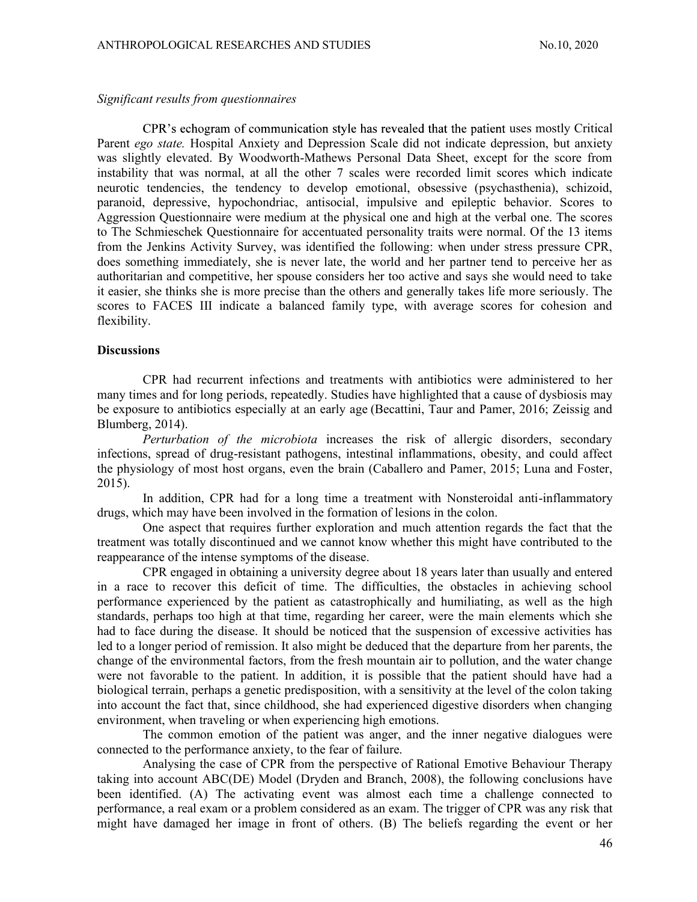### Significant results from questionnaires

CPR's echogram of communication style has revealed that the patient uses mostly Critical Parent ego state. Hospital Anxiety and Depression Scale did not indicate depression, but anxiety was slightly elevated. By Woodworth-Mathews Personal Data Sheet, except for the score from instability that was normal, at all the other 7 scales were recorded limit scores which indicate neurotic tendencies, the tendency to develop emotional, obsessive (psychasthenia), schizoid, paranoid, depressive, hypochondriac, antisocial, impulsive and epileptic behavior. Scores to Aggression Questionnaire were medium at the physical one and high at the verbal one. The scores to The Schmieschek Questionnaire for accentuated personality traits were normal. Of the 13 items from the Jenkins Activity Survey, was identified the following: when under stress pressure CPR, does something immediately, she is never late, the world and her partner tend to perceive her as authoritarian and competitive, her spouse considers her too active and says she would need to take it easier, she thinks she is more precise than the others and generally takes life more seriously. The scores to FACES III indicate a balanced family type, with average scores for cohesion and flexibility.

### **Discussions**

CPR had recurrent infections and treatments with antibiotics were administered to her many times and for long periods, repeatedly. Studies have highlighted that a cause of dysbiosis may be exposure to antibiotics especially at an early age (Becattini, Taur and Pamer, 2016; Zeissig and Blumberg, 2014).

Perturbation of the microbiota increases the risk of allergic disorders, secondary infections, spread of drug-resistant pathogens, intestinal inflammations, obesity, and could affect the physiology of most host organs, even the brain (Caballero and Pamer, 2015; Luna and Foster, 2015).

In addition, CPR had for a long time a treatment with Nonsteroidal anti-inflammatory drugs, which may have been involved in the formation of lesions in the colon.

One aspect that requires further exploration and much attention regards the fact that the treatment was totally discontinued and we cannot know whether this might have contributed to the reappearance of the intense symptoms of the disease.

CPR engaged in obtaining a university degree about 18 years later than usually and entered in a race to recover this deficit of time. The difficulties, the obstacles in achieving school performance experienced by the patient as catastrophically and humiliating, as well as the high standards, perhaps too high at that time, regarding her career, were the main elements which she had to face during the disease. It should be noticed that the suspension of excessive activities has led to a longer period of remission. It also might be deduced that the departure from her parents, the change of the environmental factors, from the fresh mountain air to pollution, and the water change were not favorable to the patient. In addition, it is possible that the patient should have had a biological terrain, perhaps a genetic predisposition, with a sensitivity at the level of the colon taking into account the fact that, since childhood, she had experienced digestive disorders when changing environment, when traveling or when experiencing high emotions.

The common emotion of the patient was anger, and the inner negative dialogues were connected to the performance anxiety, to the fear of failure.

Analysing the case of CPR from the perspective of Rational Emotive Behaviour Therapy taking into account ABC(DE) Model (Dryden and Branch, 2008), the following conclusions have been identified. (A) The activating event was almost each time a challenge connected to performance, a real exam or a problem considered as an exam. The trigger of CPR was any risk that might have damaged her image in front of others. (B) The beliefs regarding the event or her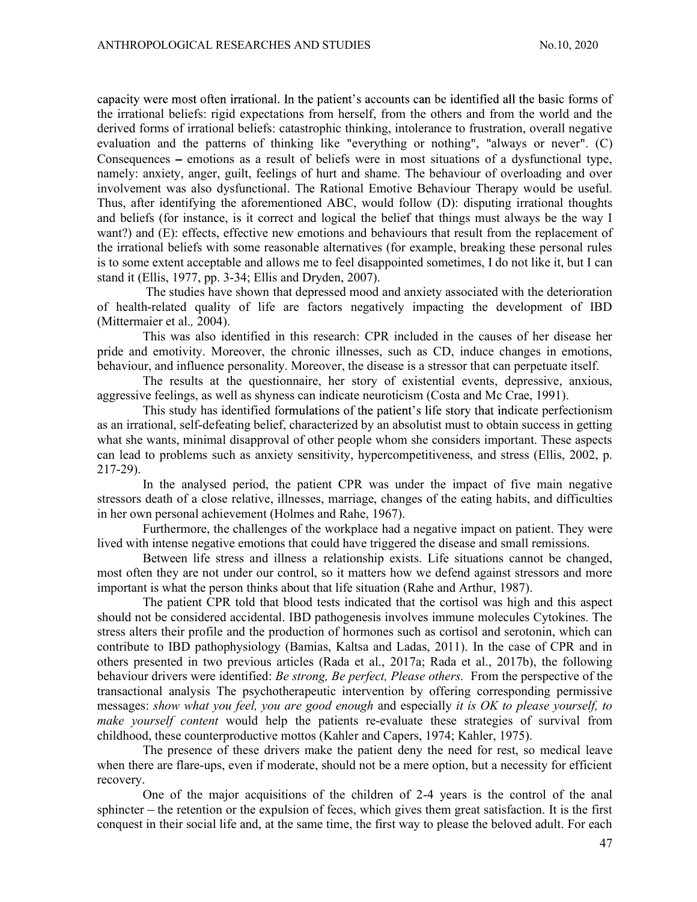capacity were most often irrational. In the patient's accounts can be identified all the basic forms of the irrational beliefs: rigid expectations from herself, from the others and from the world and the derived forms of irrational beliefs: catastrophic thinking, intolerance to frustration, overall negative evaluation and the patterns of thinking like "everything or nothing", "always or never".  $(C)$ Consequences  $-$  emotions as a result of beliefs were in most situations of a dysfunctional type, namely: anxiety, anger, guilt, feelings of hurt and shame. The behaviour of overloading and over involvement was also dysfunctional. The Rational Emotive Behaviour Therapy would be useful. Thus, after identifying the aforementioned ABC, would follow (D): disputing irrational thoughts and beliefs (for instance, is it correct and logical the belief that things must always be the way I want?) and (E): effects, effective new emotions and behaviours that result from the replacement of the irrational beliefs with some reasonable alternatives (for example, breaking these personal rules is to some extent acceptable and allows me to feel disappointed sometimes, I do not like it, but I can stand it (Ellis, 1977, pp. 3-34; Ellis and Dryden, 2007).

 The studies have shown that depressed mood and anxiety associated with the deterioration of health-related quality of life are factors negatively impacting the development of IBD (Mittermaier et al., 2004).

This was also identified in this research: CPR included in the causes of her disease her pride and emotivity. Moreover, the chronic illnesses, such as CD, induce changes in emotions, behaviour, and influence personality. Moreover, the disease is a stressor that can perpetuate itself.

The results at the questionnaire, her story of existential events, depressive, anxious, aggressive feelings, as well as shyness can indicate neuroticism (Costa and Mc Crae, 1991).

This study has identified formulations of the patient's life story that indicate perfectionism as an irrational, self-defeating belief, characterized by an absolutist must to obtain success in getting what she wants, minimal disapproval of other people whom she considers important. These aspects can lead to problems such as anxiety sensitivity, hypercompetitiveness, and stress (Ellis, 2002, p. 217-29).

In the analysed period, the patient CPR was under the impact of five main negative stressors death of a close relative, illnesses, marriage, changes of the eating habits, and difficulties in her own personal achievement (Holmes and Rahe, 1967).

Furthermore, the challenges of the workplace had a negative impact on patient. They were lived with intense negative emotions that could have triggered the disease and small remissions.

Between life stress and illness a relationship exists. Life situations cannot be changed, most often they are not under our control, so it matters how we defend against stressors and more important is what the person thinks about that life situation (Rahe and Arthur, 1987).

The patient CPR told that blood tests indicated that the cortisol was high and this aspect should not be considered accidental. IBD pathogenesis involves immune molecules Cytokines. The stress alters their profile and the production of hormones such as cortisol and serotonin, which can contribute to IBD pathophysiology (Bamias, Kaltsa and Ladas, 2011). In the case of CPR and in others presented in two previous articles (Rada et al., 2017a; Rada et al., 2017b), the following behaviour drivers were identified: Be strong, Be perfect, Please others. From the perspective of the transactional analysis The psychotherapeutic intervention by offering corresponding permissive messages: show what you feel, you are good enough and especially it is OK to please yourself, to make yourself content would help the patients re-evaluate these strategies of survival from childhood, these counterproductive mottos (Kahler and Capers, 1974; Kahler, 1975).

The presence of these drivers make the patient deny the need for rest, so medical leave when there are flare-ups, even if moderate, should not be a mere option, but a necessity for efficient recovery.

One of the major acquisitions of the children of 2-4 years is the control of the anal sphincter – the retention or the expulsion of feces, which gives them great satisfaction. It is the first conquest in their social life and, at the same time, the first way to please the beloved adult. For each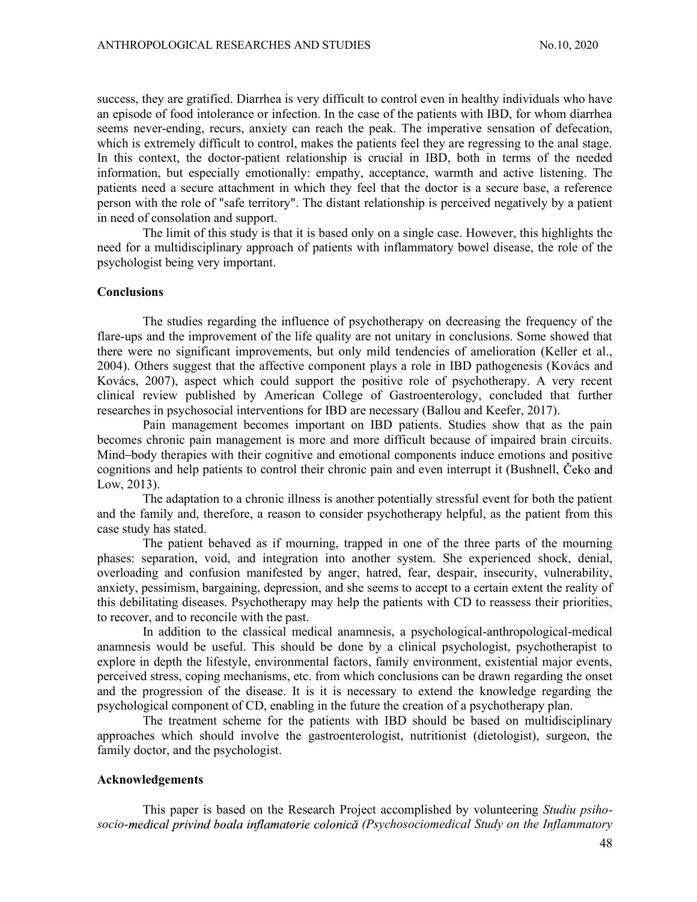success, they are gratified. Diarrhea is very difficult to control even in healthy individuals who have an episode of food intolerance or infection. In the case of the patients with IBD, for whom diarrhea seems never-ending, recurs, anxiety can reach the peak. The imperative sensation of defecation, which is extremely difficult to control, makes the patients feel they are regressing to the anal stage. In this context, the doctor-patient relationship is crucial in IBD, both in terms of the needed information, but especially emotionally: empathy, acceptance, warmth and active listening. The patients need a secure attachment in which they feel that the doctor is a secure base, a reference person with the role of "safe territory". The distant relationship is perceived negatively by a patient in need of consolation and support.

The limit of this study is that it is based only on a single case. However, this highlights the need for a multidisciplinary approach of patients with inflammatory bowel disease, the role of the psychologist being very important.

#### **Conclusions**

The studies regarding the influence of psychotherapy on decreasing the frequency of the flare-ups and the improvement of the life quality are not unitary in conclusions. Some showed that there were no significant improvements, but only mild tendencies of amelioration (Keller et al., 2004). Others suggest that the affective component plays a role in IBD pathogenesis (Kovács and Kovács, 2007), aspect which could support the positive role of psychotherapy. A very recent clinical review published by American College of Gastroenterology, concluded that further researches in psychosocial interventions for IBD are necessary (Ballou and Keefer, 2017).

Pain management becomes important on IBD patients. Studies show that as the pain becomes chronic pain management is more and more difficult because of impaired brain circuits. Mind–body therapies with their cognitive and emotional components induce emotions and positive cognitions and help patients to control their chronic pain and even interrupt it (Bushnell, Low, 2013).

The adaptation to a chronic illness is another potentially stressful event for both the patient and the family and, therefore, a reason to consider psychotherapy helpful, as the patient from this case study has stated.

The patient behaved as if mourning, trapped in one of the three parts of the mourning phases: separation, void, and integration into another system. She experienced shock, denial, overloading and confusion manifested by anger, hatred, fear, despair, insecurity, vulnerability, anxiety, pessimism, bargaining, depression, and she seems to accept to a certain extent the reality of this debilitating diseases. Psychotherapy may help the patients with CD to reassess their priorities, to recover, and to reconcile with the past.

In addition to the classical medical anamnesis, a psychological-anthropological-medical anamnesis would be useful. This should be done by a clinical psychologist, psychotherapist to explore in depth the lifestyle, environmental factors, family environment, existential major events, perceived stress, coping mechanisms, etc. from which conclusions can be drawn regarding the onset and the progression of the disease. It is it is necessary to extend the knowledge regarding the psychological component of CD, enabling in the future the creation of a psychotherapy plan.

The treatment scheme for the patients with IBD should be based on multidisciplinary approaches which should involve the gastroenterologist, nutritionist (dietologist), surgeon, the family doctor, and the psychologist.

#### Acknowledgements

This paper is based on the Research Project accomplished by volunteering *Studiu psiho*socio-medical privind boala inflamatorie colonică (Psychosociomedical Study on the Inflammatory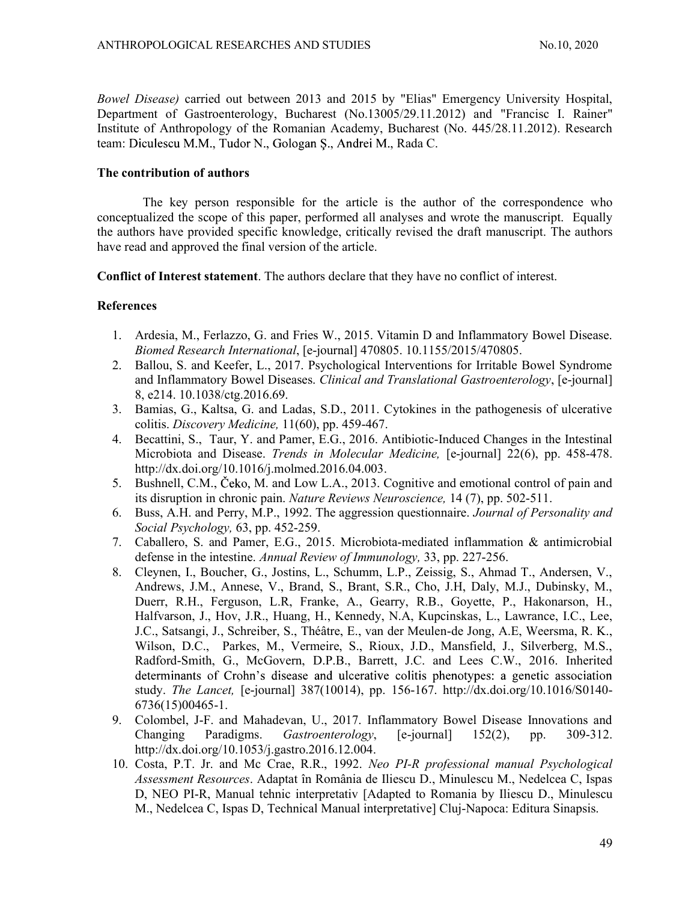Bowel Disease) carried out between 2013 and 2015 by "Elias" Emergency University Hospital, Department of Gastroenterology, Bucharest (No.13005/29.11.2012) and "Francisc I. Rainer" Institute of Anthropology of the Romanian Academy, Bucharest (No. 445/28.11.2012). Research team: Diculescu M.M., Tudor N., Gologan S., Andrei M., Rada C.

## The contribution of authors

The key person responsible for the article is the author of the correspondence who conceptualized the scope of this paper, performed all analyses and wrote the manuscript. Equally the authors have provided specific knowledge, critically revised the draft manuscript. The authors have read and approved the final version of the article.

Conflict of Interest statement. The authors declare that they have no conflict of interest.

### References

- 1. Ardesia, M., Ferlazzo, G. and Fries W., 2015. Vitamin D and Inflammatory Bowel Disease. Biomed Research International, [e-journal] 470805. 10.1155/2015/470805.
- 2. Ballou, S. and Keefer, L., 2017. Psychological Interventions for Irritable Bowel Syndrome and Inflammatory Bowel Diseases. Clinical and Translational Gastroenterology, [e-journal] 8, e214. 10.1038/ctg.2016.69.
- 3. Bamias, G., Kaltsa, G. and Ladas, S.D., 2011. Cytokines in the pathogenesis of ulcerative colitis. Discovery Medicine, 11(60), pp. 459-467.
- 4. Becattini, S., Taur, Y. and Pamer, E.G., 2016. Antibiotic-Induced Changes in the Intestinal Microbiota and Disease. Trends in Molecular Medicine, [e-journal] 22(6), pp. 458-478. http://dx.doi.org/10.1016/j.molmed.2016.04.003.
- 5. Bushnell, C.M., Čeko, M. and Low L.A., 2013. Cognitive and emotional control of pain and its disruption in chronic pain. Nature Reviews Neuroscience, 14 (7), pp. 502-511.
- 6. Buss, A.H. and Perry, M.P., 1992. The aggression questionnaire. Journal of Personality and Social Psychology, 63, pp. 452-259.
- 7. Caballero, S. and Pamer, E.G., 2015. Microbiota-mediated inflammation & antimicrobial defense in the intestine. Annual Review of Immunology, 33, pp. 227-256.
- 8. Cleynen, I., Boucher, G., Jostins, L., Schumm, L.P., Zeissig, S., Ahmad T., Andersen, V., Andrews, J.M., Annese, V., Brand, S., Brant, S.R., Cho, J.H, Daly, M.J., Dubinsky, M., Duerr, R.H., Ferguson, L.R, Franke, A., Gearry, R.B., Goyette, P., Hakonarson, H., Halfvarson, J., Hov, J.R., Huang, H., Kennedy, N.A, Kupcinskas, L., Lawrance, I.C., Lee, J.C., Satsangi, J., Schreiber, S., Théâtre, E., van der Meulen-de Jong, A.E, Weersma, R. K., Wilson, D.C., Parkes, M., Vermeire, S., Rioux, J.D., Mansfield, J., Silverberg, M.S., Radford-Smith, G., McGovern, D.P.B., Barrett, J.C. and Lees C.W., 2016. Inherited determinants of Crohn's disease and ulcerative colitis phenotypes: a genetic association study. The Lancet, [e-journal] 387(10014), pp. 156-167. http://dx.doi.org/10.1016/S0140- 6736(15)00465-1.
- 9. Colombel, J-F. and Mahadevan, U., 2017. Inflammatory Bowel Disease Innovations and Changing Paradigms. Gastroenterology, [e-journal] 152(2), pp. 309-312. http://dx.doi.org/10.1053/j.gastro.2016.12.004.
- 10. Costa, P.T. Jr. and Mc Crae, R.R., 1992. Neo PI-R professional manual Psychological Assessment Resources. Adaptat în România de Iliescu D., Minulescu M., Nedelcea C, Ispas D, NEO PI-R, Manual tehnic interpretativ [Adapted to Romania by Iliescu D., Minulescu M., Nedelcea C, Ispas D, Technical Manual interpretative] Cluj-Napoca: Editura Sinapsis.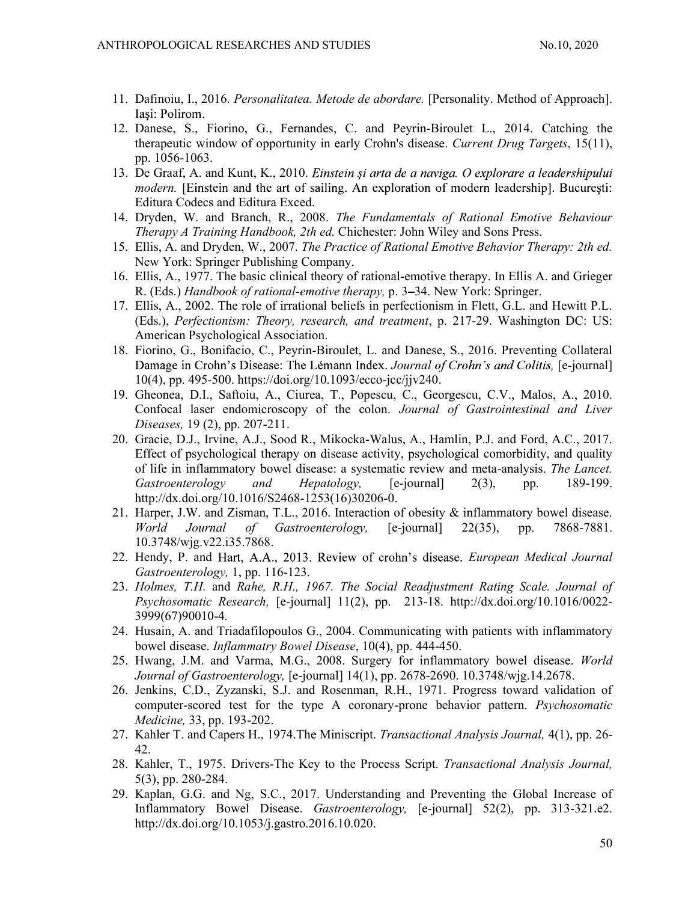- 11. Dafinoiu, I., 2016. Personalitatea. Metode de abordare. [Personality. Method of Approach]. Iasi: Polirom.
- 12. Danese, S., Fiorino, G., Fernandes, C. and Peyrin-Biroulet L., 2014. Catching the therapeutic window of opportunity in early Crohn's disease. Current Drug Targets, 15(11), pp. 1056-1063.
- 13. De Graaf, A. and Kunt, K., 2010. Einstein și arta de a naviga. O explorare a leadershipului modern. [Einstein and the art of sailing. An exploration of modern leadership]. București: Editura Codecs and Editura Exced.
- 14. Dryden, W. and Branch, R., 2008. The Fundamentals of Rational Emotive Behaviour Therapy A Training Handbook, 2th ed. Chichester: John Wiley and Sons Press.
- 15. Ellis, A. and Dryden, W., 2007. The Practice of Rational Emotive Behavior Therapy: 2th ed. New York: Springer Publishing Company.
- 16. Ellis, A., 1977. The basic clinical theory of rational-emotive therapy. In Ellis A. and Grieger R. (Eds.) Handbook of rational-emotive therapy, p. 3-34. New York: Springer.
- 17. Ellis, A., 2002. The role of irrational beliefs in perfectionism in Flett, G.L. and Hewitt P.L. (Eds.), Perfectionism: Theory, research, and treatment, p. 217-29. Washington DC: US: American Psychological Association.
- 18. Fiorino, G., Bonifacio, C., Peyrin-Biroulet, L. and Danese, S., 2016. Preventing Collateral Damage in Crohn's Disease: The Lémann Index. Journal of Crohn's and Colitis, [e-journal] 10(4), pp. 495-500. https://doi.org/10.1093/ecco-jcc/jjv240.
- 19. Gheonea, D.I., Saftoiu, A., Ciurea, T., Popescu, C., Georgescu, C.V., Malos, A., 2010. Confocal laser endomicroscopy of the colon. Journal of Gastrointestinal and Liver Diseases, 19 (2), pp. 207-211.
- 20. Gracie, D.J., Irvine, A.J., Sood R., Mikocka-Walus, A., Hamlin, P.J. and Ford, A.C., 2017. Effect of psychological therapy on disease activity, psychological comorbidity, and quality of life in inflammatory bowel disease: a systematic review and meta-analysis. The Lancet. Gastroenterology and Hepatology, [e-journal] 2(3), pp. 189-199. http://dx.doi.org/10.1016/S2468-1253(16)30206-0. From ( $\alpha$ , bominato,  $\alpha$ , peyrin-Bottouet, L. and Dattese, S., 2016. Frevening Constantine (From S. Bowell, peyrin-Bowell, 10(4), pp. 495-500. https://doi.org/10.1093/ecc-jccijv240.<br>
Hence, D.J., Saftoiu, A., Ciures, T.
- 21. Harper, J.W. and Zisman, T.L., 2016. Interaction of obesity & inflammatory bowel disease. World Journal of Gastroenterology, [e-journal] 22(35), pp. 7868-7881. 10.3748/wjg.v22.i35.7868.
- 22. Hendy, P. and Hart, A.A., 2013. Review of crohn's disease. European Medical Journal Gastroenterology, 1, pp. 116-123.
- 23. Holmes, T.H. and Rahe, R.H., 1967. The Social Readjustment Rating Scale. Journal of Psychosomatic Research, [e-journal] 11(2), pp. 213-18. http://dx.doi.org/10.1016/0022- 3999(67)90010-4.
- 24. Husain, A. and Triadafilopoulos G., 2004. Communicating with patients with inflammatory
- 25. Hwang, J.M. and Varma, M.G., 2008. Surgery for inflammatory bowel disease. World Journal of Gastroenterology, [e-journal] 14(1), pp. 2678-2690. 10.3748/wjg.14.2678.
- 26. Jenkins, C.D., Zyzanski, S.J. and Rosenman, R.H., 1971. Progress toward validation of computer-scored test for the type A coronary-prone behavior pattern. Psychosomatic Medicine, 33, pp. 193-202.
- 27. Kahler T. and Capers H., 1974.The Miniscript. Transactional Analysis Journal, 4(1), pp. 26- 42.
- 28. Kahler, T., 1975. Drivers-The Key to the Process Script. Transactional Analysis Journal, 5(3), pp. 280-284.
- 29. Kaplan, G.G. and Ng, S.C., 2017. Understanding and Preventing the Global Increase of Inflammatory Bowel Disease. Gastroenterology, [e-journal] 52(2), pp. 313-321.e2. http://dx.doi.org/10.1053/j.gastro.2016.10.020.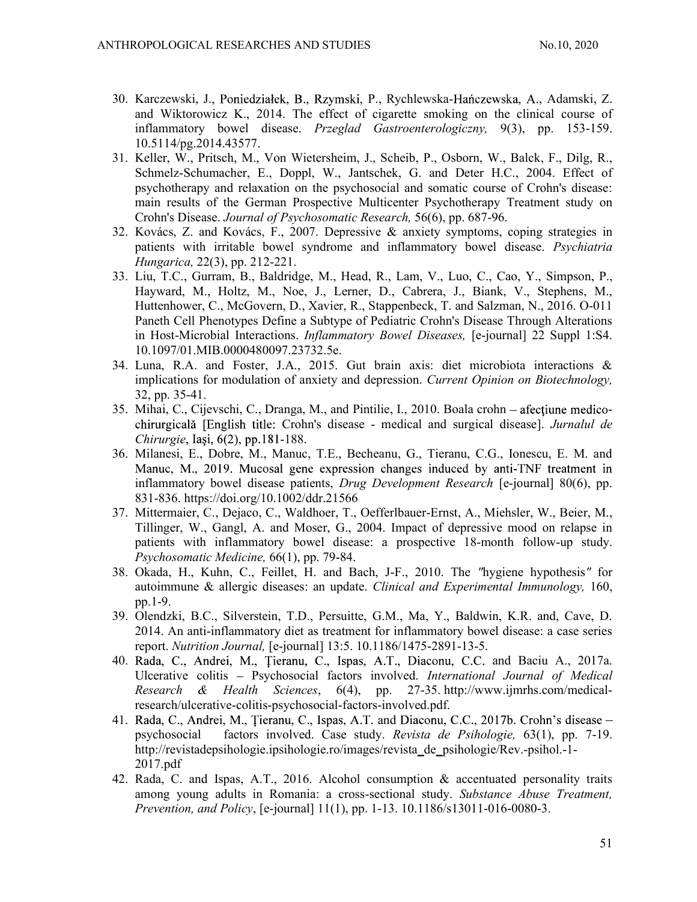- 30. Karczewski, J., Poniedziałek, B., Rzymski, P., Rychlewska-Hańczewska, A., Adamski, Z. and Wiktorowicz K., 2014. The effect of cigarette smoking on the clinical course of inflammatory bowel disease. Przeglad Gastroenterologiczny, 9(3), pp. 153-159. 10.5114/pg.2014.43577.
- 31. Keller, W., Pritsch, M., Von Wietersheim, J., Scheib, P., Osborn, W., Balck, F., Dilg, R., Schmelz-Schumacher, E., Doppl, W., Jantschek, G. and Deter H.C., 2004. Effect of psychotherapy and relaxation on the psychosocial and somatic course of Crohn's disease: main results of the German Prospective Multicenter Psychotherapy Treatment study on Crohn's Disease. Journal of Psychosomatic Research, 56(6), pp. 687-96.
- 32. Kovács, Z. and Kovács, F., 2007. Depressive & anxiety symptoms, coping strategies in patients with irritable bowel syndrome and inflammatory bowel disease. Psychiatria Hungarica, 22(3), pp. 212-221.
- 33. Liu, T.C., Gurram, B., Baldridge, M., Head, R., Lam, V., Luo, C., Cao, Y., Simpson, P., Hayward, M., Holtz, M., Noe, J., Lerner, D., Cabrera, J., Biank, V., Stephens, M., Huttenhower, C., McGovern, D., Xavier, R., Stappenbeck, T. and Salzman, N., 2016. O-011 Paneth Cell Phenotypes Define a Subtype of Pediatric Crohn's Disease Through Alterations in Host-Microbial Interactions. *Inflammatory Bowel Diseases*, [e-journal] 22 Suppl 1:S4. 10.1097/01.MIB.0000480097.23732.5e.
- 34. Luna, R.A. and Foster, J.A., 2015. Gut brain axis: diet microbiota interactions & implications for modulation of anxiety and depression. Current Opinion on Biotechnology, 32, pp. 35-41.
- 35. Mihai, C., Cijevschi, C., Dranga, M., and Pintilie, I., 2010. Boala crohn chirurgicală [English title: Crohn's disease - medical and surgical disease]. Jurnalul de  $Chirurgie$ , Iași,  $6(2)$ , pp.181-188.
- 36. Milanesi, E., Dobre, M., Manuc, T.E., Becheanu, G., Tieranu, C.G., Ionescu, E. M. and Manuc, M., 2019. Mucosal gene expression changes induced by anti-TNF treatment in inflammatory bowel disease patients, Drug Development Research [e-journal] 80(6), pp. 831-836. https://doi.org/10.1002/ddr.21566
- 37. Mittermaier, C., Dejaco, C., Waldhoer, T., Oefferlbauer-Ernst, A., Miehsler, W., Beier, M., Tillinger, W., Gangl, A. and Moser, G., 2004. Impact of depressive mood on relapse in patients with inflammatory bowel disease: a prospective 18-month follow-up study. Psychosomatic Medicine, 66(1), pp. 79-84.
- 38. Okada, H., Kuhn, C., Feillet, H. and Bach, J-F., 2010. The "hygiene hypothesis" for autoimmune & allergic diseases: an update. Clinical and Experimental Immunology, 160, pp.1-9.
- 39. Olendzki, B.C., Silverstein, T.D., Persuitte, G.M., Ma, Y., Baldwin, K.R. and, Cave, D. 2014. An anti-inflammatory diet as treatment for inflammatory bowel disease: a case series report. Nutrition Journal, [e-journal] 13:5. 10.1186/1475-2891-13-5.
- 40. Rada, C., Andrei, M., Țieranu, C., Ispas, A.T., Diaconu, C.C. and Baciu A., 2017a. Ulcerative colitis – Psychosocial factors involved. International Journal of Medical Research & Health Sciences, 6(4), pp. 27-35. http://www.ijmrhs.com/medicalresearch/ulcerative-colitis-psychosocial-factors-involved.pdf.
- 41. Rada, C., Andrei, M., Tieranu, C., Ispas, A.T. and Diaconu, C.C., 2017b. Crohn's disease psychosocial factors involved. Case study. Revista de Psihologie, 63(1), pp. 7-19. http://revistadepsihologie.ipsihologie.ro/images/revista\_de\_psihologie/Rev.-psihol.-1- 2017.pdf
- 42. Rada, C. and Ispas, A.T., 2016. Alcohol consumption & accentuated personality traits among young adults in Romania: a cross-sectional study. Substance Abuse Treatment, Prevention, and Policy, [e-journal] 11(1), pp. 1-13. 10.1186/s13011-016-0080-3.